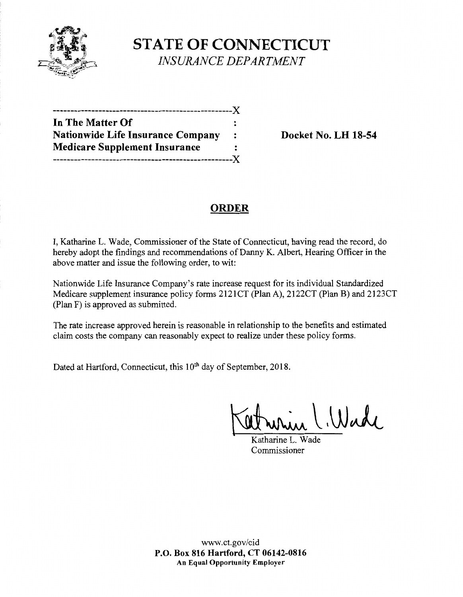

# **STATE OF CONNECTICUT**  *INSURANCE DEPARTMENT*

| In The Matter Of                         |         |
|------------------------------------------|---------|
| <b>Nationwide Life Insurance Company</b> | $\cdot$ |
| <b>Medicare Supplement Insurance</b>     |         |
| -----------------------------X           |         |

**Docket No. LH 18-54** 

## **ORDER**

I, Katharine L. Wade, Commissioner of the State of Connecticut, having read the record, do hereby adopt the findings and recommendations of Danny K. Albert, Hearing Officer in the above matter and issue the following order, to wit:

Nationwide Life Insurance Company's rate increase request for its individual Standardized Medicare supplement insurance policy forms 2121CT (Plan A), 2122CT (Plan B) and 2123CT (Plan F) is approved as submitted.

The rate increase approved herein is reasonable in relationship to the benefits and estimated claim costs the company can reasonably expect to realize under these policy forms.

Dated at Hartford, Connecticut, this 10<sup>th</sup> day of September, 2018.

~,UJJi\_\_

 $K$ atharine  $L$ . Commissioner

www.ct.gov/cid **P.O. Box 816 Hartford, CT 06142-0816 An Equal Opportunity Employer**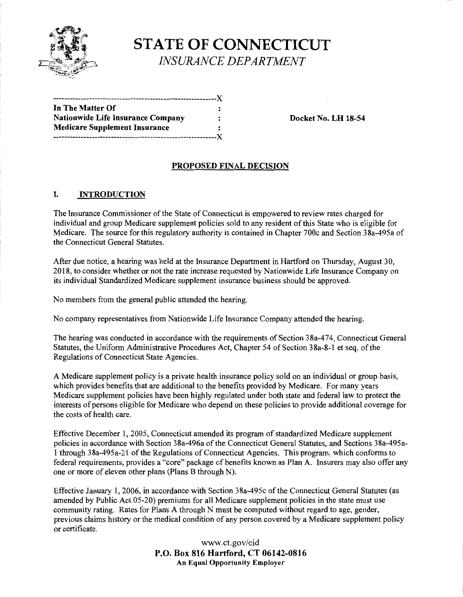

**STATE OF CONNECTICUT**  *INSURANCE DEPARTMENT* 

| In The Matter Of                         | : |
|------------------------------------------|---|
| <b>Nationwide Life Insurance Company</b> | ። |
| <b>Medicare Supplement Insurance</b>     | : |
|                                          |   |

**Docket No. LH 18-54** 

#### **PROPOSED FINAL DECISION**

#### I. **INTRODUCTION**

The Insurance Commissioner of the State of Connecticut is empowered to review rates charged for individual and group Medicare supplement policies sold to any resident of this State who is eligible for Medicare. The source for this regulatory authority is contained in Chapter 700c and Section 38a-495a of the Connecticut General Statutes.

After due notice, a hearing was held at the Insurance Department in Hartford on Thursday, August 30, 2018, to consider whether or not the rate increase requested by Nationwide Life Insurance Company on its individual Standardized Medicare supplement insurance business should be approved.

No members from the general public attended the hearing.

No company representatives from Nationwide Life Insurance Company attended the hearing.

The hearing was conducted in accordance with the requirements of Section 38a-474, Connecticut General Statutes, the Uniform Administrative Procedures Act, Chapter 54 of Section 38a-8-1 et seq. of the Regulations of Connecticut State Agencies.

A Medicare supplement policy is a private health insurance policy sold on an individual or group basis, which provides benefits that are additional to the benefits provided by Medicare. For many years Medicare supplement policies have been highly regulated under both state and federal law to protect the interests of persons eligible for Medicare who depend on these policies to provide additional coverage for the costs of health care.

Effective December 1, 2005, Connecticut amended its program of standardized Medicare supplement policies in accordance with Section 38a-496a of the Connecticut General Statutes, and Sections 38a-495a-1 through 38a-495a-21 of the Regulations of Connecticut Agencies. This program, which conforms to federal requirements, provides a "core" package of benefits known as Plan A. Insurers may also offer any one or more of eleven other plans (Plans B through N).

Effective January 1, 2006, in accordance with Section 38a-495c of the Connecticut General Statutes (as amended by Public Act 05-20) premiums for all Medicare supplement policies in the state must use community rating. Rates for Plans A through N must be computed without regard to age, gender, previous claims history or the medical condition of any person covered by a Medicare supplement policy or certificate.

> www.ct.gov/cid **P.O. Box 816 Hartford, CT 06142-0816 An Equal Opportunity Employer**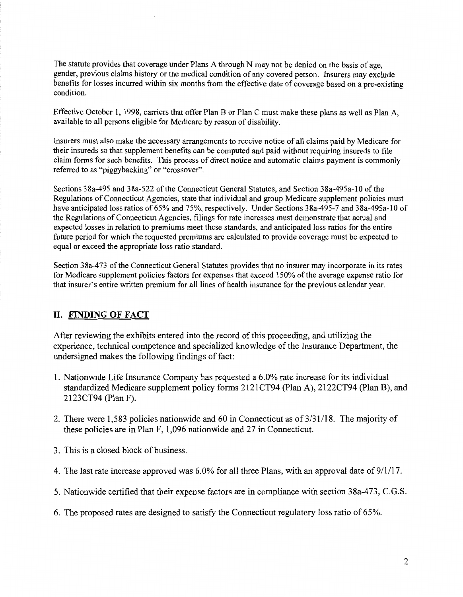The statute provides that coverage under Plans A through N may not be denied on the basis of age, gender, previous claims history or the medical condition of any covered person. Insurers may exclude benefits for losses incurred within six months from the effective date of coverage based on a pre-existing condition.

Effective October 1, 1998, carriers that offer Plan B or Plan C must make these plans as well as Plan A, available to all persons eligible for Medicare by reason of disability.

Insurers must also make the necessary arrangements to receive notice of all claims paid by Medicare for their insureds so that supplement benefits can be computed and paid without requiring insureds to file claim forms for such benefits. This process of direct notice and automatic claims payment is commonly referred to as "piggybacking" or "crossover".

Sections 38a-495 and 38a-522 of the Connecticut General Statutes, and Section 38a-495a-10 ofthe Regulations of Connecticut Agencies, state that individual and group Medicare supplement policies must have anticipated loss ratios of 65% and 75%, respectively. Under Sections 38a-495-7 and 38a-495a-10 of the Regulations of Connecticut Agencies, filings for rate increases must demonstrate that actual and expected losses in relation to premiums meet these standards, and anticipated loss ratios for the entire future period for which the requested premiums are calculated to provide coverage must be expected to equal or exceed the appropriate loss ratio standard.

Section 38a-473 of the Connecticut General Statutes provides that no insurer may incorporate in its rates for Medicare supplement policies factors for expenses that exceed 150% of the average expense ratio for that insurer's entire written premium for all lines of health insurance for the previous calendar year.

### **II. FINDING OF FACT**

After reviewing the exhibits entered into the record of this proceeding, and utilizing the experience, technical competence and specialized knowledge of the Insurance Department, the undersigned makes the following findings of fact:

- 1. Nationwide Life Insurance Company has requested a 6.0% rate increase for its individual standardized Medicare supplement policy forms 2121CT94 (Plan A), 2122CT94 (Plan B), and 2123CT94 (Plan F).
- 2. There were 1,583 policies nationwide and 60 in Connecticut as of  $3/31/18$ . The majority of these policies are in Plan F, 1,096 nationwide and 27 in Connecticut.
- 3. This is a closed block of business.
- 4. The last rate increase approved was 6.0% for all three Plans, with an approval date of 9/1/17.
- 5. Nationwide certified that their expense factors are in compliance with section 38a-473, C.G.S.
- 6. The proposed rates are designed to satisfy the Connecticut regulatory loss ratio of 65%.